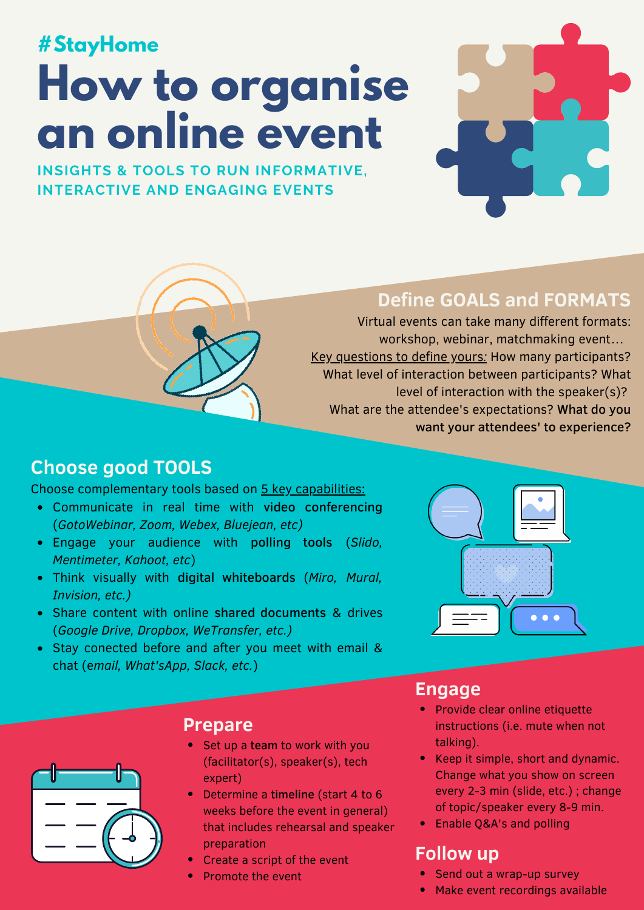# **#RestezChezVous #StayHome**

# **low to organise n** online ev **How to organise an online event**



**correctement ? INSIGHTS & TOOLS TO RUN INFORMATIVE, Source:** Organisation mondiale de la Santé **INTERACTIVE AND ENGAGING EVENTS**



#### **Define GOALS and FORMATS**

**Avant de mettre un masque :** Virtual events can take many different formats: workshop, webinar, matchmaking event... **désinfectant à base d'alcool** ou du Key questions to define yours*:* How many participants? **savon et de l'eau**. What level of interaction between participants? What level of interaction with the speaker(s)? What are the attendee's expectations? What do you want your attendees' to experience?

#### **Pendant que vous portez le masque : Choose good TOOLS**

Choose complementary tools based on 5 key capabilities:

- 1. **Couvrets boucher de la couvret de la conference de la conference de la conference de la conference de la conference de la conference de la conference de la conferênce de la conferênce de la conferênce de la conferênc** Communicate in real time with video conferencing (*GotoWebinar, Zoom, Webex, Bluejean, etc)*
- 2. **Évitez de toucher le masque.** Si vous le faites, Engage your audience with polling tools (*Slido,* nettoyez-vous les mains avec un désinfectant à base *Mentimeter, Kahoot, etc*)
- Think visually with digital whiteboards (Miro, Mural, *xision, etc.)* and the mass of the mass of the mass of the mass of the mass of the mass of the mass of the mass of the mass of the mass of the mass of the mass of the mass of the mass of the mass of the mass of the mass *Invision, etc.)*
- **Share content with online shared documents & drives** (*Google Drive, Dropbox, WeTransfer, etc.)*
- Stay conected before and after you meet with email & chat (e*mail, What'sApp, Slack, etc.*)





- instructions (i.e. mute when not • Provide clear online etiquette talking).
- $\bullet$  Keep it simple, short and dynamic. **Next all all passions of the value of the value of the value of the value of the value of the value of the value of the value of the value of the value of the value of the value of the value of the value of the value of t** o 6 **independie in teres le maris every 2-3 min (slide, etc.)** ; change of topic/speaker every 8-9 min.
	- Enable Q&A's and polling

#### **base dialcool** outdow **up**

- Send out a wrap-up survey
- Make event recordings available



#### **Prepare**

- Set up a team to work with you (facilitator(s), speaker(s), tech expert)
- 3. **Nettoyez vos mains** avec un **désinfectant à** Determine a timeline (start 4 to 6 weeks before the event in general) that includes rehearsal and speaker preparation
- Create a script of the event
- Promote the event